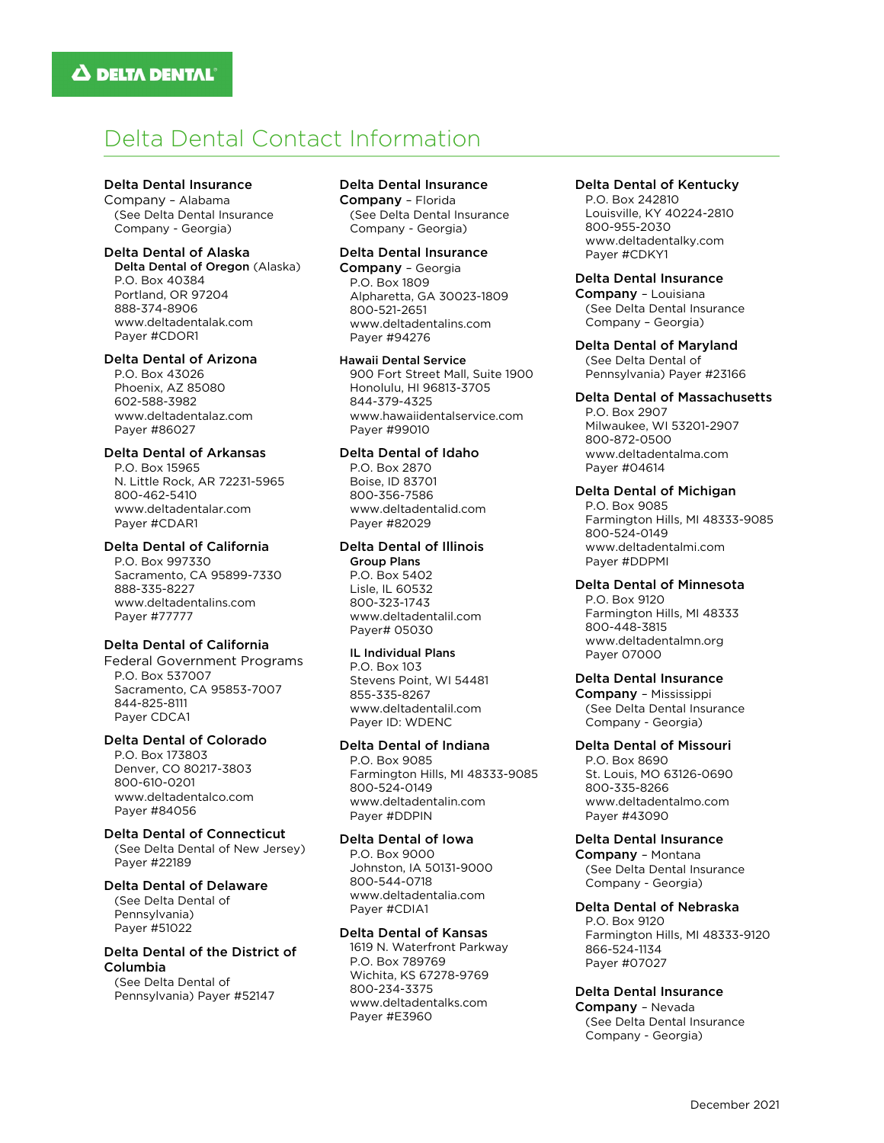# Delta Dental Contact Information

# Delta Dental Insurance

Company – Alabama (See Delta Dental Insurance Company - Georgia)

# Delta Dental of Alaska

Delta Dental of Oregon (Alaska) P.O. Box 40384 Portland, OR 97204 888-374-8906 www.deltadentalak.com Payer #CDOR1

# Delta Dental of Arizona

P.O. Box 43026 Phoenix, AZ 85080 602-588-3982 www.deltadentalaz.com Payer #86027

# Delta Dental of Arkansas

P.O. Box 15965 N. Little Rock, AR 72231-5965 800-462-5410 www.deltadentalar.com Payer #CDAR1

# Delta Dental of California

P.O. Box 997330 Sacramento, CA 95899-7330 888-335-8227 www.deltadentalins.com Payer #77777

# Delta Dental of California

Federal Government Programs P.O. Box 537007 Sacramento, CA 95853-7007 844-825-8111 Payer CDCA1

# Delta Dental of Colorado

P.O. Box 173803 Denver, CO 80217-3803 800-610-0201 www.deltadentalco.com Payer #84056

#### Delta Dental of Connecticut

(See Delta Dental of New Jersey) Payer #22189

#### Delta Dental of Delaware

(See Delta Dental of Pennsylvania) Payer #51022

## Delta Dental of the District of Columbia

(See Delta Dental of Pennsylvania) Payer #52147

# Delta Dental Insurance

Company – Florida (See Delta Dental Insurance Company - Georgia)

#### Delta Dental Insurance

Company – Georgia P.O. Box 1809 Alpharetta, GA 30023-1809 800-521-2651 www.deltadentalins.com Payer #94276

#### Hawaii Dental Service

900 Fort Street Mall, Suite 1900 Honolulu, HI 96813-3705 844-379-4325 www.hawaiidentalservice.com Payer #99010

# Delta Dental of Idaho

P.O. Box 2870 Boise, ID 83701 800-356-7586 www.deltadentalid.com Payer #82029

# Delta Dental of Illinois

 Group Plans P.O. Box 5402 Lisle, IL 60532 800-323-1743 www.deltadentalil.com Payer# 05030

# IL Individual Plans

 P.O. Box 103 Stevens Point, WI 54481 855-335-8267 [www.deltadentalil.com](http://www.deltadentalil.com/) Payer ID: WDENC

# Delta Dental of Indiana

P.O. Box 9085 Farmington Hills, MI 48333-9085 800-524-0149 www.deltadentalin.com Payer #DDPIN

#### Delta Dental of Iowa

P.O. Box 9000 Johnston, IA 50131-9000 800-544-0718 www.deltadentalia.com Payer #CDIA1

# Delta Dental of Kansas

1619 N. Waterfront Parkway P.O. Box 789769 Wichita, KS 67278-9769 800-234-3375 www.deltadentalks.com Payer #E3960

#### Delta Dental of Kentucky

P.O. Box 242810 Louisville, KY 40224-2810 800-955-2030 [www.deltadentalky.com](http://www.deltadentalky.com/) Payer #CDKY1

## Delta Dental Insurance

Company – Louisiana (See Delta Dental Insurance Company – Georgia)

Delta Dental of Maryland (See Delta Dental of Pennsylvania) Payer #23166

# Delta Dental of Massachusetts

P.O. Box 2907 Milwaukee, WI 53201-2907 800-872-0500 www.deltadentalma.com Payer #04614

# Delta Dental of Michigan

P.O. Box 9085 Farmington Hills, MI 48333-9085 800-524-0149 www.deltadentalmi.com Payer #DDPMI

# Delta Dental of Minnesota

P.O. Box 9120 Farmington Hills, MI 48333 800-448-3815 www.deltadentalmn.org Payer 07000

# Delta Dental Insurance

Company – Mississippi (See Delta Dental Insurance Company - Georgia)

#### Delta Dental of Missouri

P.O. Box 8690 St. Louis, MO 63126-0690 800-335-8266 www.deltadentalmo.com Payer #43090

#### Delta Dental Insurance

Company – Montana (See Delta Dental Insurance Company - Georgia)

# Delta Dental of Nebraska

P.O. Box 9120 Farmington Hills, MI 48333-9120 866-524-1134 Payer #07027

# Delta Dental Insurance

Company – Nevada (See Delta Dental Insurance Company - Georgia)